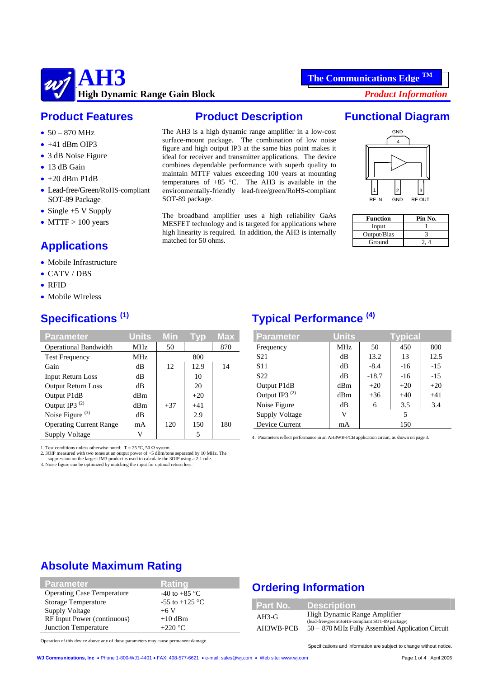

### **Product Features**

- $50 870$  MHz
- $\bullet$  +41 dBm OIP3
- 3 dB Noise Figure
- 13 dB Gain
- $\bullet$  +20 dBm P1dB
- Lead-free/Green/RoHS-compliant SOT-89 Package
- Single +5 V Supply
- MTTF  $> 100$  years

# **Applications**

- Mobile Infrastructure
- CATV / DBS
- RFID
- Mobile Wireless

# **Specifications (1)**

| <b>Parameter</b>               | <b>Units</b> | Min   | Typ   | Max |
|--------------------------------|--------------|-------|-------|-----|
| <b>Operational Bandwidth</b>   | <b>MHz</b>   | 50    |       | 870 |
| <b>Test Frequency</b>          | MHz          |       | 800   |     |
| Gain                           | dB           | 12    | 12.9  | 14  |
| <b>Input Return Loss</b>       | dВ           |       | 10    |     |
| <b>Output Return Loss</b>      | dВ           |       | 20    |     |
| Output P1dB                    | dBm          |       | $+20$ |     |
| Output IP3 <sup>(2)</sup>      | dBm          | $+37$ | $+41$ |     |
| Noise Figure <sup>(3)</sup>    | dВ           |       | 2.9   |     |
| <b>Operating Current Range</b> | mA           | 120   | 150   | 180 |
| Supply Voltage                 | V            |       | 5     |     |

1. Test conditions unless otherwise noted: T = 25 °C, 50  $\Omega$  system.

2. 3OIP measured with two tones at an output power of  $+5$  dBm/tone separated by 10 MHz. The suppression on the largest IM3 product is used to calculate the 3OIP using a 2:1 rule.<br>3. Noise figure can be optimized by match

#### **Product Description**

The AH3 is a high dynamic range amplifier in a low-cost surface-mount package. The combination of low noise figure and high output IP3 at the same bias point makes it ideal for receiver and transmitter applications. The device combines dependable performance with superb quality to maintain MTTF values exceeding 100 years at mounting temperatures of  $+85$  °C. The AH3 is available in the environmentally-friendly lead-free/green/RoHS-compliant SOT-89 package.

The broadband amplifier uses a high reliability GaAs MESFET technology and is targeted for applications where high linearity is required. In addition, the AH3 is internally matched for 50 ohms.

# **Functional Diagram**



| <b>Function</b> | Pin No. |
|-----------------|---------|
| Input           |         |
| Output/Bias     |         |
| Ground          |         |

# **Typical Performance (4)**

| <b>Parameter</b>          | <b>Units</b> |         | <b>Typical</b> |       |
|---------------------------|--------------|---------|----------------|-------|
| Frequency                 | <b>MHz</b>   | 50      | 450            | 800   |
| S <sub>21</sub>           | dB           | 13.2    | 13             | 12.5  |
| <b>S11</b>                | dB           | $-8.4$  | $-16$          | $-15$ |
| S <sub>22</sub>           | dB           | $-18.7$ | $-16$          | $-15$ |
| Output P1dB               | dBm          | $+20$   | $+20$          | $+20$ |
| Output IP3 <sup>(2)</sup> | dBm          | $+36$   | $+40$          | $+41$ |
| Noise Figure              | dB           | 6       | 3.5            | 3.4   |
| Supply Voltage            | V            |         | 5              |       |
| Device Current            | mA           |         | 150            |       |

4. Parameters reflect performance in an AH3WB-PCB application circuit, as shown on page 3.

## **Absolute Maximum Rating**

| <b>Parameter</b>                  | Rating                   |
|-----------------------------------|--------------------------|
| <b>Operating Case Temperature</b> | -40 to +85 $^{\circ}$ C  |
| <b>Storage Temperature</b>        | -55 to +125 $^{\circ}$ C |
| <b>Supply Voltage</b>             | $+6V$                    |
| RF Input Power (continuous)       | $+10$ dBm                |
| Junction Temperature              | $+220$ °C                |

### **Ordering Information**

| <b>Part No.</b> | <b>Description</b>                                                              |
|-----------------|---------------------------------------------------------------------------------|
| $AH3-G$         | High Dynamic Range Amplifier<br>(lead-free/green/RoHS-compliant SOT-89 package) |
| AH3WB-PCB       | 50 - 870 MHz Fully Assembled Application Circuit                                |

Operation of this device above any of these parameters may cause permanent damage.

Specifications and information are subject to change without notice.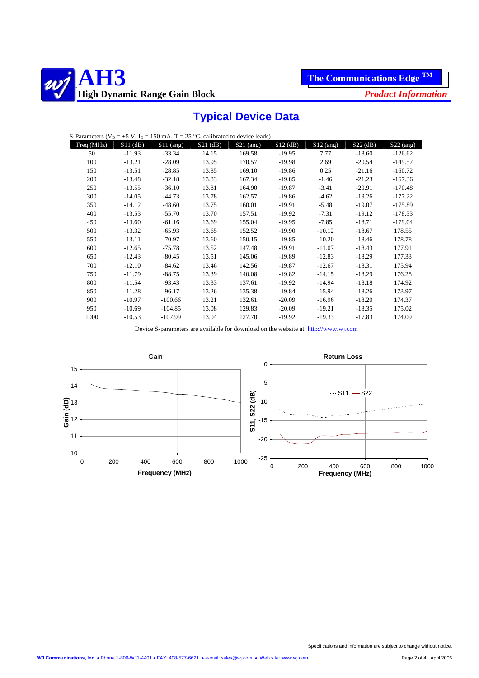



# **Typical Device Data**

| S-Parameters ( $V_D = +5 V$ , $I_D = 150 mA$ , $T = 25 °C$ , calibrated to device leads) |            |             |            |             |            |             |            |             |
|------------------------------------------------------------------------------------------|------------|-------------|------------|-------------|------------|-------------|------------|-------------|
| Freq (MHz)                                                                               | $S11$ (dB) | $S11$ (ang) | $S21$ (dB) | $S21$ (ang) | $S12$ (dB) | $S12$ (ang) | $S22$ (dB) | $S22$ (ang) |
| 50                                                                                       | $-11.93$   | $-33.34$    | 14.15      | 169.58      | $-19.95$   | 7.77        | $-18.60$   | $-126.62$   |
| 100                                                                                      | $-13.21$   | $-28.09$    | 13.95      | 170.57      | $-19.98$   | 2.69        | $-20.54$   | $-149.57$   |
| 150                                                                                      | $-13.51$   | $-28.85$    | 13.85      | 169.10      | $-19.86$   | 0.25        | $-21.16$   | $-160.72$   |
| 200                                                                                      | $-13.48$   | $-32.18$    | 13.83      | 167.34      | $-19.85$   | $-1.46$     | $-21.23$   | $-167.36$   |
| 250                                                                                      | $-13.55$   | $-36.10$    | 13.81      | 164.90      | $-19.87$   | $-3.41$     | $-20.91$   | $-170.48$   |
| 300                                                                                      | $-14.05$   | $-44.73$    | 13.78      | 162.57      | $-19.86$   | $-4.62$     | $-19.26$   | $-177.22$   |
| 350                                                                                      | $-14.12$   | $-48.60$    | 13.75      | 160.01      | $-19.91$   | $-5.48$     | $-19.07$   | $-175.89$   |
| 400                                                                                      | $-13.53$   | $-55.70$    | 13.70      | 157.51      | $-19.92$   | $-7.31$     | $-19.12$   | $-178.33$   |
| 450                                                                                      | $-13.60$   | $-61.16$    | 13.69      | 155.04      | $-19.95$   | $-7.85$     | $-18.71$   | $-179.04$   |
| 500                                                                                      | $-13.32$   | $-65.93$    | 13.65      | 152.52      | $-19.90$   | $-10.12$    | $-18.67$   | 178.55      |
| 550                                                                                      | $-13.11$   | $-70.97$    | 13.60      | 150.15      | $-19.85$   | $-10.20$    | $-18.46$   | 178.78      |
| 600                                                                                      | $-12.65$   | $-75.78$    | 13.52      | 147.48      | $-19.91$   | $-11.07$    | $-18.43$   | 177.91      |
| 650                                                                                      | $-12.43$   | $-80.45$    | 13.51      | 145.06      | $-19.89$   | $-12.83$    | $-18.29$   | 177.33      |
| 700                                                                                      | $-12.10$   | $-84.62$    | 13.46      | 142.56      | $-19.87$   | $-12.67$    | $-18.31$   | 175.94      |
| 750                                                                                      | $-11.79$   | $-88.75$    | 13.39      | 140.08      | $-19.82$   | $-14.15$    | $-18.29$   | 176.28      |
| 800                                                                                      | $-11.54$   | $-93.43$    | 13.33      | 137.61      | $-19.92$   | $-14.94$    | $-18.18$   | 174.92      |
| 850                                                                                      | $-11.28$   | $-96.17$    | 13.26      | 135.38      | $-19.84$   | $-15.94$    | $-18.26$   | 173.97      |
| 900                                                                                      | $-10.97$   | $-100.66$   | 13.21      | 132.61      | $-20.09$   | $-16.96$    | $-18.20$   | 174.37      |
| 950                                                                                      | $-10.69$   | $-104.85$   | 13.08      | 129.83      | $-20.09$   | $-19.21$    | $-18.35$   | 175.02      |
| 1000                                                                                     | $-10.53$   | $-107.99$   | 13.04      | 127.70      | $-19.92$   | $-19.33$    | $-17.83$   | 174.09      |

Device S-parameters are available for download on the website at: http://www.wj.com

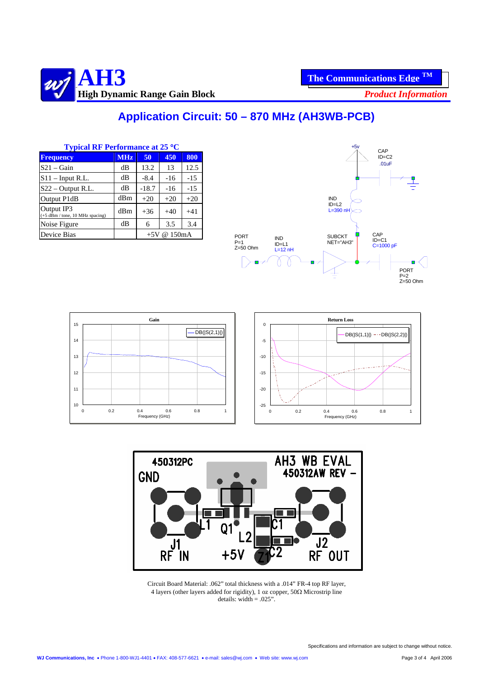

# **Application Circuit: 50 – 870 MHz (AH3WB-PCB)**

| <b>Typical RF Performance at 25 °C</b>          |            |         |                        |       | $+5v$<br>C,        |            |                                               |
|-------------------------------------------------|------------|---------|------------------------|-------|--------------------|------------|-----------------------------------------------|
| <b>Frequency</b>                                | <b>MHz</b> | 50      | 450                    | 800   |                    |            | ID                                            |
| $S21 - Gain$                                    | dВ         | 13.2    | 13                     | 12.5  |                    |            | ).                                            |
| $S11$ – Input R.L.                              | dВ         | $-8.4$  | $-16$                  | $-15$ |                    |            |                                               |
| $S22 - Output R.L.$                             | dB         | $-18.7$ | $-16$                  | $-15$ |                    |            |                                               |
| Output P1dB                                     | dBm        | $+20$   | $+20$                  | $+20$ |                    |            | <b>IND</b>                                    |
| Output IP3<br>$(+5$ dBm / tone, 10 MHz spacing) | dBm        | $+36$   | $+40$                  | $+41$ |                    |            | $ID=L2$<br>$L = 390$ nH $\sim$                |
| Noise Figure                                    | dB         | 6       | 3.5                    | 3.4   |                    |            |                                               |
| Device Bias                                     |            |         | $+5V \& 150 \text{mA}$ |       | <b>PORT</b><br>- 1 | <b>IND</b> | CAP<br><b>SUBCKT</b><br>$ID=0$<br>NICT BALLOR |







Circuit Board Material: .062" total thickness with a .014" FR-4 top RF layer, 4 layers (other layers added for rigidity), 1 oz copper, 50Ω Microstrip line details: width  $= .025$ ".